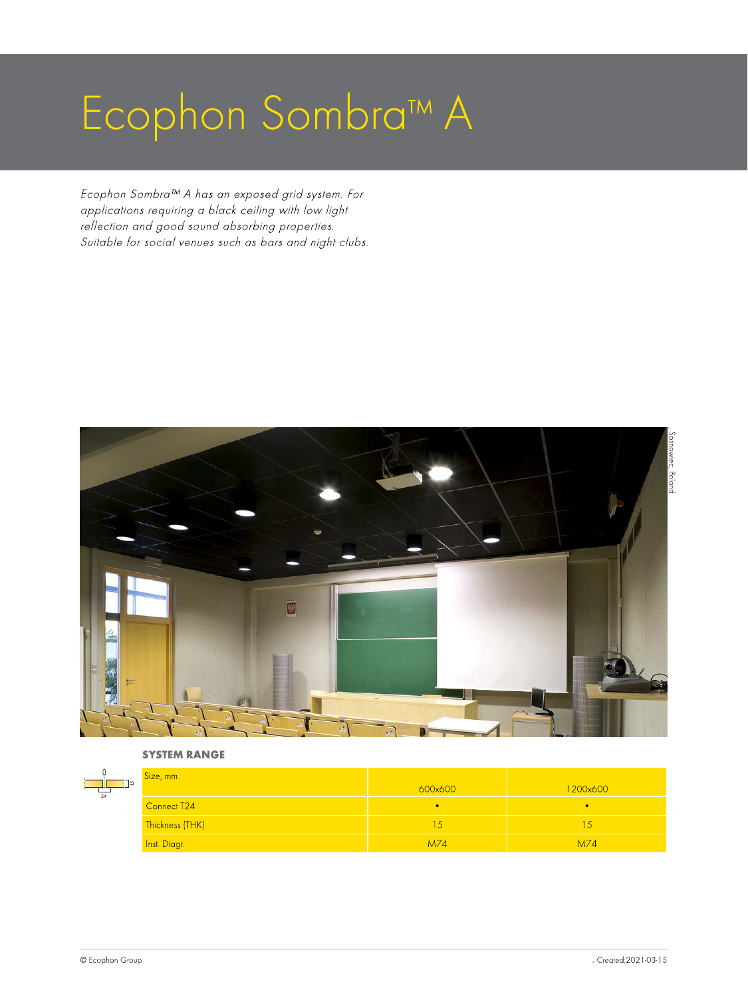# Ecophon Sombra™ A

Ecophon Sombra™ A has an exposed grid system. For applications requiring a black ceiling with low light reflection and good sound absorbing properties. Suitable for social venues such as bars and night clubs.



SYSTEM RANGE

| $^{\degree}$ 24 | Size, mm        | 600x600 | 1200x600 |
|-----------------|-----------------|---------|----------|
|                 | Connect T24     |         |          |
|                 | Thickness (THK) |         | ÷.       |
|                 | Inst. Diagr.    | M74     | M74      |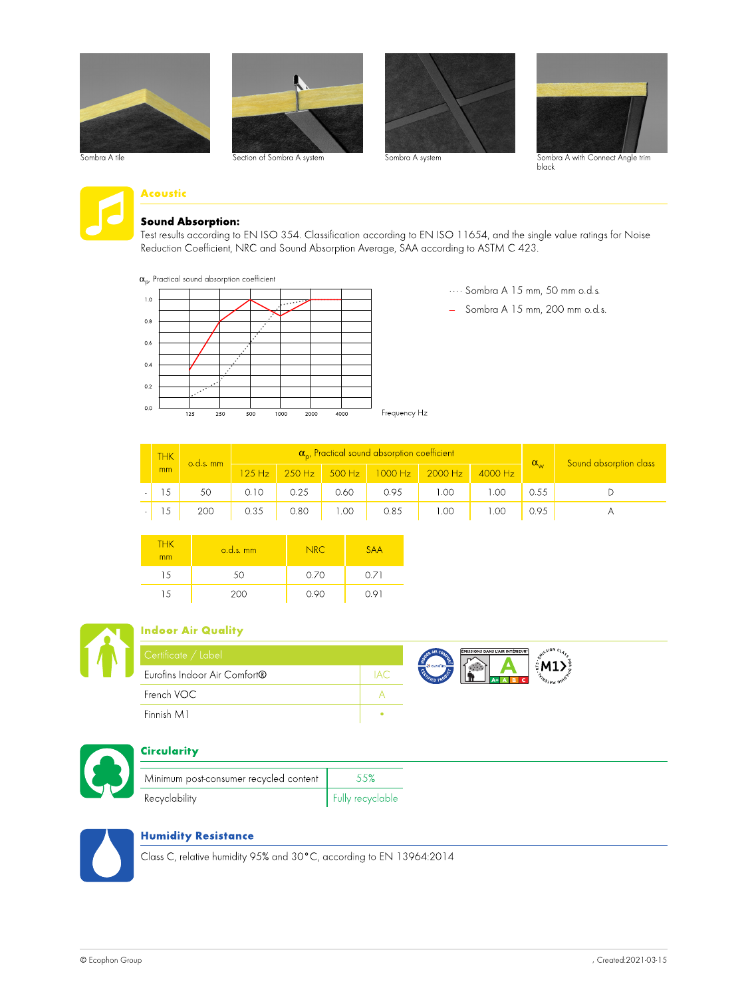













# Acoustic

#### Sound Absorption:

Test results according to EN ISO 354. Classification according to EN ISO 11654, and the single value ratings for Noise Reduction Coefficient, NRC and Sound Absorption Average, SAA according to ASTM C 423.

 $\alpha_{\rm o}$ , Practical sound absorption coefficient



···· Sombra A 15 mm, 50 mm o.d.s.

— Sombra A 15 mm, 200 mm o.d.s.

| <b>THK</b> | $o.d.s.$ mm |        |      |      | $\alpha_{\rm ro}$ Practical sound absorption coefficient |                                 |           | $\alpha_{\rm w}$ | Sound absorption class |
|------------|-------------|--------|------|------|----------------------------------------------------------|---------------------------------|-----------|------------------|------------------------|
| mm         |             | 125 Hz |      |      |                                                          | 250 Hz 300 Hz 1000 Hz 2000 Hz 1 | $4000$ Hz |                  |                        |
|            | 50          | 0.10   | 0.25 | 0.60 | 0.95                                                     | .00                             | .00       | 0.55             |                        |
|            | 200         | 0.35   | 0.80 | .00  | 0.85                                                     | .00                             | .00       | 0.95             |                        |

| <b>THK</b><br>mm | $o.d.s.$ mm | NRC. | <b>SAA</b> |
|------------------|-------------|------|------------|
| 15               | 50          | 0.70 | 0.71       |
| -5               | 200         | 0.90 | ו טו       |



#### Indoor Air Quality

| Certificate / Label          |                                 | <b>ÉMISSIONS DANS L'AIR INTÉRIEUR'</b> |  |
|------------------------------|---------------------------------|----------------------------------------|--|
| Eurofins Indoor Air Comfort® | <b>68</b> eurofins<br>FIED PRU- |                                        |  |
| French VOC                   |                                 |                                        |  |
| Finnish M1                   |                                 |                                        |  |



# **Circularity**

| Minimum post-consumer recycled content | 5.5%             |
|----------------------------------------|------------------|
| Recyclability                          | Fully recyclable |



#### Humidity Resistance

Class C, relative humidity 95% and 30°C, according to EN 13964:2014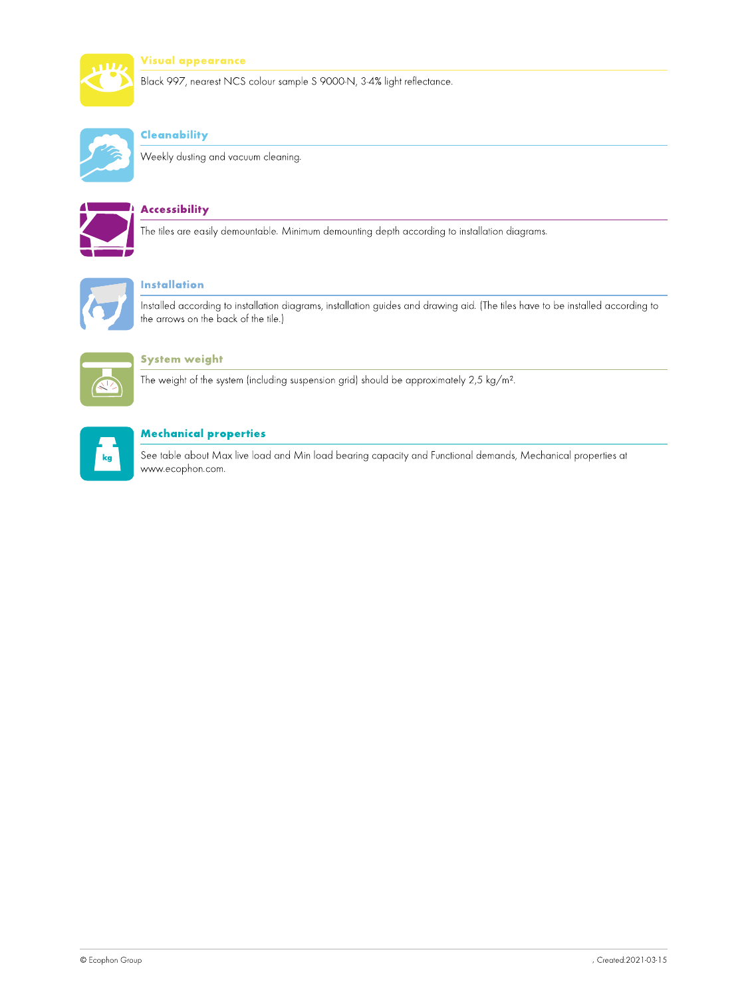

#### Visual appearance

Black 997, nearest NCS colour sample S 9000-N, 3-4% light reflectance.



# **Cleanability**

Weekly dusting and vacuum cleaning.



## **Accessibility**

The tiles are easily demountable. Minimum demounting depth according to installation diagrams.



# Installation

Installed according to installation diagrams, installation guides and drawing aid. (The tiles have to be installed according to the arrows on the back of the tile.)



#### System weight

The weight of the system (including suspension grid) should be approximately 2,5 kg/m².



### Mechanical properties

See table about Max live load and Min load bearing capacity and Functional demands, Mechanical properties at www.ecophon.com.